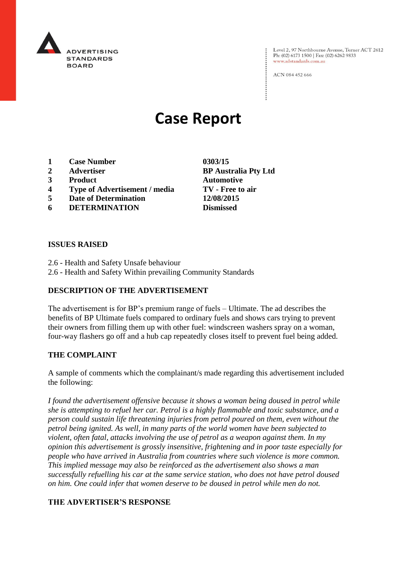

Level 2, 97 Northbourne Avenue, Turner ACT 2612 Ph: (02) 6173 1500 | Fax: (02) 6262 9833 www.adstandards.com.au

ACN 084 452 666

# **Case Report**

- **1 Case Number 0303/15**
- **2 Advertiser BP Australia Pty Ltd**
- **3 Product Automotive**
- **4 Type of Advertisement / media TV - Free to air**
- **5 Date of Determination 12/08/2015**
- **6 DETERMINATION Dismissed**

**ISSUES RAISED**

- 2.6 Health and Safety Unsafe behaviour
- 2.6 Health and Safety Within prevailing Community Standards

# **DESCRIPTION OF THE ADVERTISEMENT**

The advertisement is for BP's premium range of fuels – Ultimate. The ad describes the benefits of BP Ultimate fuels compared to ordinary fuels and shows cars trying to prevent their owners from filling them up with other fuel: windscreen washers spray on a woman, four-way flashers go off and a hub cap repeatedly closes itself to prevent fuel being added.

# **THE COMPLAINT**

A sample of comments which the complainant/s made regarding this advertisement included the following:

*I found the advertisement offensive because it shows a woman being doused in petrol while she is attempting to refuel her car. Petrol is a highly flammable and toxic substance, and a person could sustain life threatening injuries from petrol poured on them, even without the petrol being ignited. As well, in many parts of the world women have been subjected to violent, often fatal, attacks involving the use of petrol as a weapon against them. In my opinion this advertisement is grossly insensitive, frightening and in poor taste especially for people who have arrived in Australia from countries where such violence is more common. This implied message may also be reinforced as the advertisement also shows a man successfully refuelling his car at the same service station, who does not have petrol doused on him. One could infer that women deserve to be doused in petrol while men do not.* 

# **THE ADVERTISER'S RESPONSE**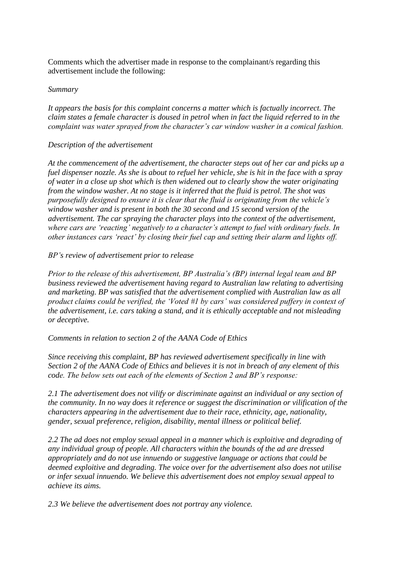Comments which the advertiser made in response to the complainant/s regarding this advertisement include the following:

#### *Summary*

*It appears the basis for this complaint concerns a matter which is factually incorrect. The claim states a female character is doused in petrol when in fact the liquid referred to in the complaint was water sprayed from the character's car window washer in a comical fashion.*

# *Description of the advertisement*

*At the commencement of the advertisement, the character steps out of her car and picks up a fuel dispenser nozzle. As she is about to refuel her vehicle, she is hit in the face with a spray of water in a close up shot which is then widened out to clearly show the water originating from the window washer. At no stage is it inferred that the fluid is petrol. The shot was purposefully designed to ensure it is clear that the fluid is originating from the vehicle's window washer and is present in both the 30 second and 15 second version of the advertisement. The car spraying the character plays into the context of the advertisement, where cars are 'reacting' negatively to a character's attempt to fuel with ordinary fuels. In other instances cars 'react' by closing their fuel cap and setting their alarm and lights off.*

# *BP's review of advertisement prior to release*

*Prior to the release of this advertisement, BP Australia's (BP) internal legal team and BP business reviewed the advertisement having regard to Australian law relating to advertising and marketing. BP was satisfied that the advertisement complied with Australian law as all product claims could be verified, the 'Voted #1 by cars' was considered puffery in context of the advertisement, i.e. cars taking a stand, and it is ethically acceptable and not misleading or deceptive.*

*Comments in relation to section 2 of the AANA Code of Ethics*

*Since receiving this complaint, BP has reviewed advertisement specifically in line with Section 2 of the AANA Code of Ethics and believes it is not in breach of any element of this code. The below sets out each of the elements of Section 2 and BP's response:*

*2.1 The advertisement does not vilify or discriminate against an individual or any section of the community. In no way does it reference or suggest the discrimination or vilification of the characters appearing in the advertisement due to their race, ethnicity, age, nationality, gender, sexual preference, religion, disability, mental illness or political belief.*

*2.2 The ad does not employ sexual appeal in a manner which is exploitive and degrading of any individual group of people. All characters within the bounds of the ad are dressed appropriately and do not use innuendo or suggestive language or actions that could be deemed exploitive and degrading. The voice over for the advertisement also does not utilise or infer sexual innuendo. We believe this advertisement does not employ sexual appeal to achieve its aims.*

*2.3 We believe the advertisement does not portray any violence.*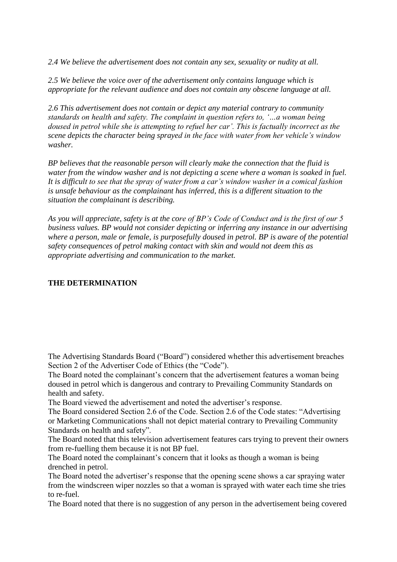*2.4 We believe the advertisement does not contain any sex, sexuality or nudity at all.*

*2.5 We believe the voice over of the advertisement only contains language which is appropriate for the relevant audience and does not contain any obscene language at all.*

*2.6 This advertisement does not contain or depict any material contrary to community standards on health and safety. The complaint in question refers to, '…a woman being doused in petrol while she is attempting to refuel her car'. This is factually incorrect as the scene depicts the character being sprayed in the face with water from her vehicle's window washer.* 

*BP believes that the reasonable person will clearly make the connection that the fluid is water from the window washer and is not depicting a scene where a woman is soaked in fuel. It is difficult to see that the spray of water from a car's window washer in a comical fashion is unsafe behaviour as the complainant has inferred, this is a different situation to the situation the complainant is describing.*

*As you will appreciate, safety is at the core of BP's Code of Conduct and is the first of our 5 business values. BP would not consider depicting or inferring any instance in our advertising where a person, male or female, is purposefully doused in petrol. BP is aware of the potential safety consequences of petrol making contact with skin and would not deem this as appropriate advertising and communication to the market.*

# **THE DETERMINATION**

The Advertising Standards Board ("Board") considered whether this advertisement breaches Section 2 of the Advertiser Code of Ethics (the "Code").

The Board noted the complainant's concern that the advertisement features a woman being doused in petrol which is dangerous and contrary to Prevailing Community Standards on health and safety.

The Board viewed the advertisement and noted the advertiser's response.

The Board considered Section 2.6 of the Code. Section 2.6 of the Code states: "Advertising or Marketing Communications shall not depict material contrary to Prevailing Community Standards on health and safety".

The Board noted that this television advertisement features cars trying to prevent their owners from re-fuelling them because it is not BP fuel.

The Board noted the complainant's concern that it looks as though a woman is being drenched in petrol.

The Board noted the advertiser's response that the opening scene shows a car spraying water from the windscreen wiper nozzles so that a woman is sprayed with water each time she tries to re-fuel.

The Board noted that there is no suggestion of any person in the advertisement being covered